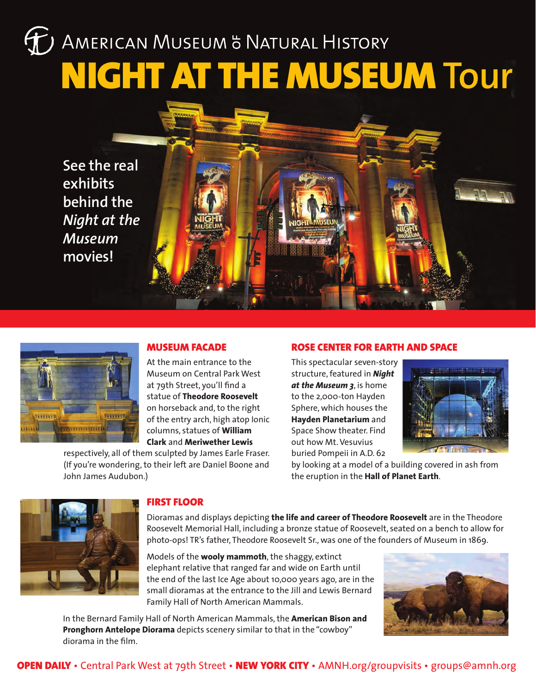# J AMERICAN MUSEUM & NATURAL HISTORY NIGHT AT THE MUSEUM **Tour**

**See the real exhibits behind the**  *Night at the Museum* **movies!**



## MUSEUM FACADE

At the main entrance to the Museum on Central Park West at 79th Street, you'll find a statue of **Theodore Roosevelt** on horseback and, to the right of the entry arch, high atop Ionic columns, statues of **William Clark** and **Meriwether Lewis**

respectively, all of them sculpted by James Earle Fraser. (If you're wondering, to their left are Daniel Boone and John James Audubon.)

# ROSE CENTER FOR EARTH AND SPACE

This spectacular seven-story structure, featured in *Night at the Museum 3*, is home to the 2,000-ton Hayden Sphere, which houses the **Hayden Planetarium** and Space Show theater. Find out how Mt. Vesuvius buried Pompeii in A.D. 62



by looking at a model of a building covered in ash from the eruption in the **Hall of Planet Earth**.



### FIRST FLOOR

Dioramas and displays depicting **the life and career of Theodore Roosevelt** are in the Theodore Roosevelt Memorial Hall, including a bronze statue of Roosevelt, seated on a bench to allow for photo-ops! TR's father, Theodore Roosevelt Sr., was one of the founders of Museum in 1869.

Models of the **wooly mammoth**, the shaggy, extinct elephant relative that ranged far and wide on Earth until the end of the last Ice Age about 10,000 years ago, are in the small dioramas at the entrance to the Jill and Lewis Bernard Family Hall of North American Mammals.



In the Bernard Family Hall of North American Mammals, the **American Bison and Pronghorn Antelope Diorama** depicts scenery similar to that in the "cowboy" diorama in the film.